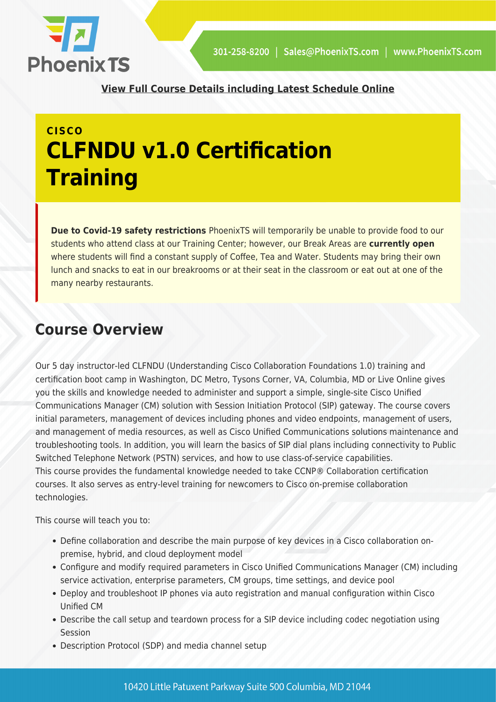

**[View Full Course Details including Latest Schedule Online](https://phoenixts.com/training-courses/cisco-clfndu-understanding-cisco-collaboration-foundations-training/)**

## **CISCO CLFNDU v1.0 Certification Training**

**Due to Covid-19 safety restrictions** PhoenixTS will temporarily be unable to provide food to our students who attend class at our Training Center; however, our Break Areas are **currently open** where students will find a constant supply of Coffee, Tea and Water. Students may bring their own lunch and snacks to eat in our breakrooms or at their seat in the classroom or eat out at one of the many nearby restaurants.

## **Course Overview**

Our 5 day instructor-led CLFNDU (Understanding Cisco Collaboration Foundations 1.0) training and certification boot camp in Washington, DC Metro, Tysons Corner, VA, Columbia, MD or Live Online gives you the skills and knowledge needed to administer and support a simple, single-site Cisco Unified Communications Manager (CM) solution with Session Initiation Protocol (SIP) gateway. The course covers initial parameters, management of devices including phones and video endpoints, management of users, and management of media resources, as well as Cisco Unified Communications solutions maintenance and troubleshooting tools. In addition, you will learn the basics of SIP dial plans including connectivity to Public Switched Telephone Network (PSTN) services, and how to use class-of-service capabilities. This course provides the fundamental knowledge needed to take CCNP® Collaboration certification courses. It also serves as entry-level training for newcomers to Cisco on-premise collaboration technologies.

This course will teach you to:

- Define collaboration and describe the main purpose of key devices in a Cisco collaboration onpremise, hybrid, and cloud deployment model
- Configure and modify required parameters in Cisco Unified Communications Manager (CM) including service activation, enterprise parameters, CM groups, time settings, and device pool
- Deploy and troubleshoot IP phones via auto registration and manual configuration within Cisco Unified CM
- Describe the call setup and teardown process for a SIP device including codec negotiation using Session
- Description Protocol (SDP) and media channel setup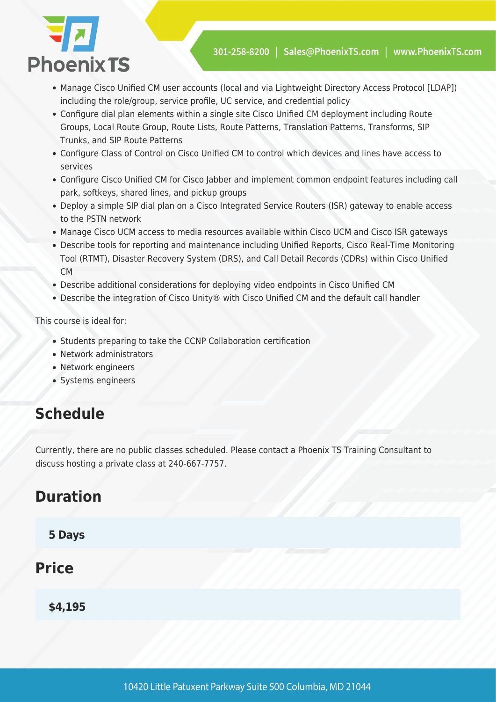

- Manage Cisco Unified CM user accounts (local and via Lightweight Directory Access Protocol [LDAP]) including the role/group, service profile, UC service, and credential policy
- Configure dial plan elements within a single site Cisco Unified CM deployment including Route Groups, Local Route Group, Route Lists, Route Patterns, Translation Patterns, Transforms, SIP Trunks, and SIP Route Patterns
- Configure Class of Control on Cisco Unified CM to control which devices and lines have access to services
- Configure Cisco Unified CM for Cisco Jabber and implement common endpoint features including call park, softkeys, shared lines, and pickup groups
- Deploy a simple SIP dial plan on a Cisco Integrated Service Routers (ISR) gateway to enable access to the PSTN network
- Manage Cisco UCM access to media resources available within Cisco UCM and Cisco ISR gateways
- Describe tools for reporting and maintenance including Unified Reports, Cisco Real-Time Monitoring Tool (RTMT), Disaster Recovery System (DRS), and Call Detail Records (CDRs) within Cisco Unified CM
- Describe additional considerations for deploying video endpoints in Cisco Unified CM
- Describe the integration of Cisco Unity® with Cisco Unified CM and the default call handler

This course is ideal for:

- Students preparing to take the CCNP Collaboration certification
- Network administrators
- Network engineers
- Systems engineers

#### **Schedule**

Currently, there are no public classes scheduled. Please contact a Phoenix TS Training Consultant to discuss hosting a private class at 240-667-7757.

#### **Duration**

**5 Days**

#### **Price**

**\$4,195**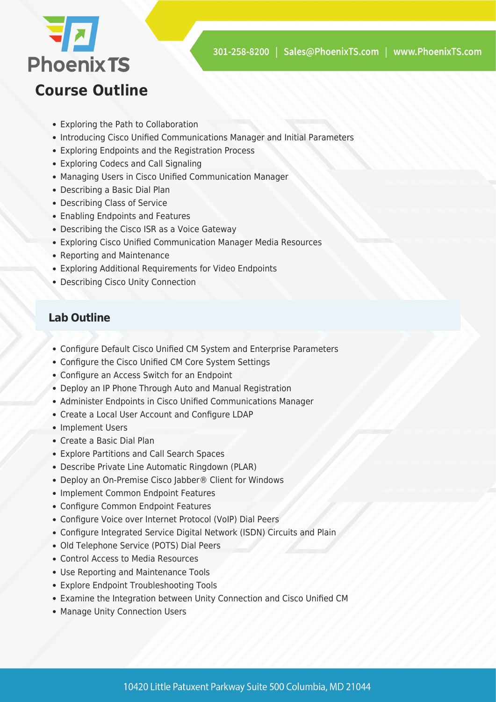

## **Course Outline**

- Exploring the Path to Collaboration
- Introducing Cisco Unified Communications Manager and Initial Parameters
- Exploring Endpoints and the Registration Process
- Exploring Codecs and Call Signaling
- Managing Users in Cisco Unified Communication Manager
- Describing a Basic Dial Plan
- Describing Class of Service
- Enabling Endpoints and Features
- Describing the Cisco ISR as a Voice Gateway
- Exploring Cisco Unified Communication Manager Media Resources
- Reporting and Maintenance
- Exploring Additional Requirements for Video Endpoints
- Describing Cisco Unity Connection

#### **Lab Outline**

- Configure Default Cisco Unified CM System and Enterprise Parameters
- Configure the Cisco Unified CM Core System Settings
- Configure an Access Switch for an Endpoint
- Deploy an IP Phone Through Auto and Manual Registration
- Administer Endpoints in Cisco Unified Communications Manager
- Create a Local User Account and Configure LDAP
- Implement Users
- Create a Basic Dial Plan
- Explore Partitions and Call Search Spaces
- Describe Private Line Automatic Ringdown (PLAR)
- Deploy an On-Premise Cisco Jabber® Client for Windows
- Implement Common Endpoint Features
- Configure Common Endpoint Features
- Configure Voice over Internet Protocol (VoIP) Dial Peers
- Configure Integrated Service Digital Network (ISDN) Circuits and Plain
- Old Telephone Service (POTS) Dial Peers
- Control Access to Media Resources
- Use Reporting and Maintenance Tools
- Explore Endpoint Troubleshooting Tools
- Examine the Integration between Unity Connection and Cisco Unified CM
- Manage Unity Connection Users